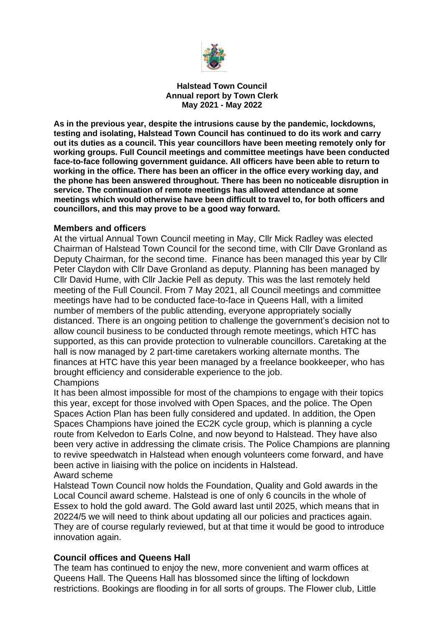

**Halstead Town Council Annual report by Town Clerk May 2021 - May 2022**

**As in the previous year, despite the intrusions cause by the pandemic, lockdowns, testing and isolating, Halstead Town Council has continued to do its work and carry out its duties as a council. This year councillors have been meeting remotely only for working groups. Full Council meetings and committee meetings have been conducted face-to-face following government guidance. All officers have been able to return to working in the office. There has been an officer in the office every working day, and the phone has been answered throughout. There has been no noticeable disruption in service. The continuation of remote meetings has allowed attendance at some meetings which would otherwise have been difficult to travel to, for both officers and councillors, and this may prove to be a good way forward.**

#### **Members and officers**

At the virtual Annual Town Council meeting in May, Cllr Mick Radley was elected Chairman of Halstead Town Council for the second time, with Cllr Dave Gronland as Deputy Chairman, for the second time. Finance has been managed this year by Cllr Peter Claydon with Cllr Dave Gronland as deputy. Planning has been managed by Cllr David Hume, with Cllr Jackie Pell as deputy. This was the last remotely held meeting of the Full Council. From 7 May 2021, all Council meetings and committee meetings have had to be conducted face-to-face in Queens Hall, with a limited number of members of the public attending, everyone appropriately socially distanced. There is an ongoing petition to challenge the government's decision not to allow council business to be conducted through remote meetings, which HTC has supported, as this can provide protection to vulnerable councillors. Caretaking at the hall is now managed by 2 part-time caretakers working alternate months. The finances at HTC have this year been managed by a freelance bookkeeper, who has brought efficiency and considerable experience to the job.

#### **Champions**

It has been almost impossible for most of the champions to engage with their topics this year, except for those involved with Open Spaces, and the police. The Open Spaces Action Plan has been fully considered and updated. In addition, the Open Spaces Champions have joined the EC2K cycle group, which is planning a cycle route from Kelvedon to Earls Colne, and now beyond to Halstead. They have also been very active in addressing the climate crisis. The Police Champions are planning to revive speedwatch in Halstead when enough volunteers come forward, and have been active in liaising with the police on incidents in Halstead. Award scheme

Halstead Town Council now holds the Foundation, Quality and Gold awards in the Local Council award scheme. Halstead is one of only 6 councils in the whole of Essex to hold the gold award. The Gold award last until 2025, which means that in 20224/5 we will need to think about updating all our policies and practices again. They are of course regularly reviewed, but at that time it would be good to introduce innovation again.

### **Council offices and Queens Hall**

The team has continued to enjoy the new, more convenient and warm offices at Queens Hall. The Queens Hall has blossomed since the lifting of lockdown restrictions. Bookings are flooding in for all sorts of groups. The Flower club, Little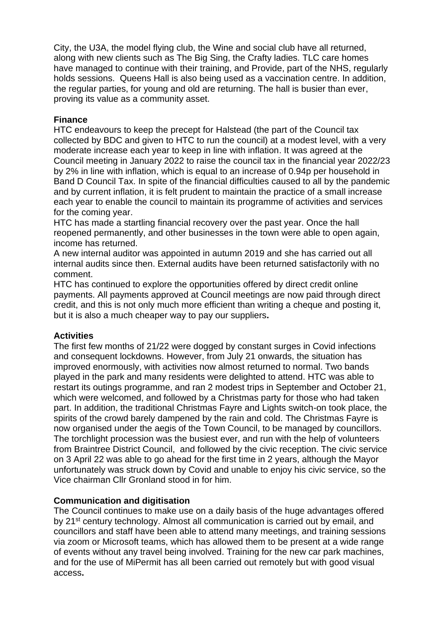City, the U3A, the model flying club, the Wine and social club have all returned, along with new clients such as The Big Sing, the Crafty ladies. TLC care homes have managed to continue with their training, and Provide, part of the NHS, regularly holds sessions. Queens Hall is also being used as a vaccination centre. In addition, the regular parties, for young and old are returning. The hall is busier than ever, proving its value as a community asset.

### **Finance**

HTC endeavours to keep the precept for Halstead (the part of the Council tax collected by BDC and given to HTC to run the council) at a modest level, with a very moderate increase each year to keep in line with inflation. It was agreed at the Council meeting in January 2022 to raise the council tax in the financial year 2022/23 by 2% in line with inflation, which is equal to an increase of 0.94p per household in Band D Council Tax. In spite of the financial difficulties caused to all by the pandemic and by current inflation, it is felt prudent to maintain the practice of a small increase each year to enable the council to maintain its programme of activities and services for the coming year.

HTC has made a startling financial recovery over the past year. Once the hall reopened permanently, and other businesses in the town were able to open again, income has returned.

A new internal auditor was appointed in autumn 2019 and she has carried out all internal audits since then. External audits have been returned satisfactorily with no comment.

HTC has continued to explore the opportunities offered by direct credit online payments. All payments approved at Council meetings are now paid through direct credit, and this is not only much more efficient than writing a cheque and posting it, but it is also a much cheaper way to pay our suppliers**.** 

# **Activities**

The first few months of 21/22 were dogged by constant surges in Covid infections and consequent lockdowns. However, from July 21 onwards, the situation has improved enormously, with activities now almost returned to normal. Two bands played in the park and many residents were delighted to attend. HTC was able to restart its outings programme, and ran 2 modest trips in September and October 21, which were welcomed, and followed by a Christmas party for those who had taken part. In addition, the traditional Christmas Fayre and Lights switch-on took place, the spirits of the crowd barely dampened by the rain and cold. The Christmas Fayre is now organised under the aegis of the Town Council, to be managed by councillors. The torchlight procession was the busiest ever, and run with the help of volunteers from Braintree District Council, and followed by the civic reception. The civic service on 3 April 22 was able to go ahead for the first time in 2 years, although the Mayor unfortunately was struck down by Covid and unable to enjoy his civic service, so the Vice chairman Cllr Gronland stood in for him.

### **Communication and digitisation**

The Council continues to make use on a daily basis of the huge advantages offered by 21<sup>st</sup> century technology. Almost all communication is carried out by email, and councillors and staff have been able to attend many meetings, and training sessions via zoom or Microsoft teams, which has allowed them to be present at a wide range of events without any travel being involved. Training for the new car park machines, and for the use of MiPermit has all been carried out remotely but with good visual access**.**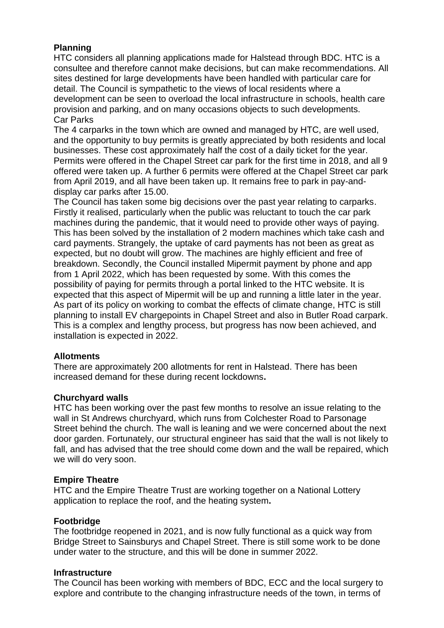# **Planning**

HTC considers all planning applications made for Halstead through BDC. HTC is a consultee and therefore cannot make decisions, but can make recommendations. All sites destined for large developments have been handled with particular care for detail. The Council is sympathetic to the views of local residents where a development can be seen to overload the local infrastructure in schools, health care provision and parking, and on many occasions objects to such developments. Car Parks

The 4 carparks in the town which are owned and managed by HTC, are well used, and the opportunity to buy permits is greatly appreciated by both residents and local businesses. These cost approximately half the cost of a daily ticket for the year. Permits were offered in the Chapel Street car park for the first time in 2018, and all 9 offered were taken up. A further 6 permits were offered at the Chapel Street car park from April 2019, and all have been taken up. It remains free to park in pay-anddisplay car parks after 15.00.

The Council has taken some big decisions over the past year relating to carparks. Firstly it realised, particularly when the public was reluctant to touch the car park machines during the pandemic, that it would need to provide other ways of paying. This has been solved by the installation of 2 modern machines which take cash and card payments. Strangely, the uptake of card payments has not been as great as expected, but no doubt will grow. The machines are highly efficient and free of breakdown. Secondly, the Council installed Mipermit payment by phone and app from 1 April 2022, which has been requested by some. With this comes the possibility of paying for permits through a portal linked to the HTC website. It is expected that this aspect of Mipermit will be up and running a little later in the year. As part of its policy on working to combat the effects of climate change, HTC is still planning to install EV chargepoints in Chapel Street and also in Butler Road carpark. This is a complex and lengthy process, but progress has now been achieved, and installation is expected in 2022.

### **Allotments**

There are approximately 200 allotments for rent in Halstead. There has been increased demand for these during recent lockdowns**.** 

# **Churchyard walls**

HTC has been working over the past few months to resolve an issue relating to the wall in St Andrews churchyard, which runs from Colchester Road to Parsonage Street behind the church. The wall is leaning and we were concerned about the next door garden. Fortunately, our structural engineer has said that the wall is not likely to fall, and has advised that the tree should come down and the wall be repaired, which we will do very soon.

# **Empire Theatre**

HTC and the Empire Theatre Trust are working together on a National Lottery application to replace the roof, and the heating system**.**

### **Footbridge**

The footbridge reopened in 2021, and is now fully functional as a quick way from Bridge Street to Sainsburys and Chapel Street. There is still some work to be done under water to the structure, and this will be done in summer 2022.

### **Infrastructure**

The Council has been working with members of BDC, ECC and the local surgery to explore and contribute to the changing infrastructure needs of the town, in terms of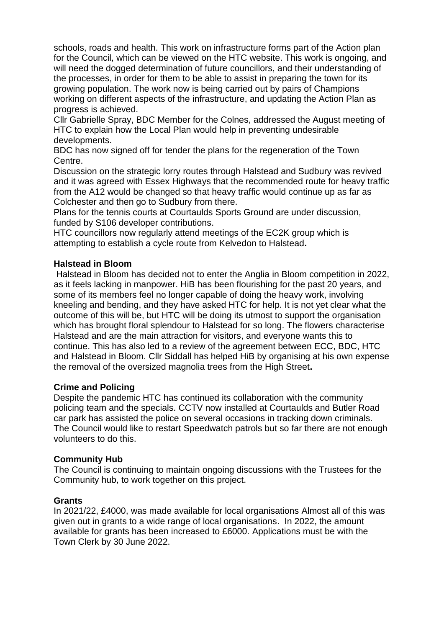schools, roads and health. This work on infrastructure forms part of the Action plan for the Council, which can be viewed on the HTC website. This work is ongoing, and will need the dogged determination of future councillors, and their understanding of the processes, in order for them to be able to assist in preparing the town for its growing population. The work now is being carried out by pairs of Champions working on different aspects of the infrastructure, and updating the Action Plan as progress is achieved.

Cllr Gabrielle Spray, BDC Member for the Colnes, addressed the August meeting of HTC to explain how the Local Plan would help in preventing undesirable developments.

BDC has now signed off for tender the plans for the regeneration of the Town Centre.

Discussion on the strategic lorry routes through Halstead and Sudbury was revived and it was agreed with Essex Highways that the recommended route for heavy traffic from the A12 would be changed so that heavy traffic would continue up as far as Colchester and then go to Sudbury from there.

Plans for the tennis courts at Courtaulds Sports Ground are under discussion, funded by S106 developer contributions.

HTC councillors now regularly attend meetings of the EC2K group which is attempting to establish a cycle route from Kelvedon to Halstead**.**

### **Halstead in Bloom**

Halstead in Bloom has decided not to enter the Anglia in Bloom competition in 2022, as it feels lacking in manpower. HiB has been flourishing for the past 20 years, and some of its members feel no longer capable of doing the heavy work, involving kneeling and bending, and they have asked HTC for help. It is not yet clear what the outcome of this will be, but HTC will be doing its utmost to support the organisation which has brought floral splendour to Halstead for so long. The flowers characterise Halstead and are the main attraction for visitors, and everyone wants this to continue. This has also led to a review of the agreement between ECC, BDC, HTC and Halstead in Bloom. Cllr Siddall has helped HiB by organising at his own expense the removal of the oversized magnolia trees from the High Street**.** 

### **Crime and Policing**

Despite the pandemic HTC has continued its collaboration with the community policing team and the specials. CCTV now installed at Courtaulds and Butler Road car park has assisted the police on several occasions in tracking down criminals. The Council would like to restart Speedwatch patrols but so far there are not enough volunteers to do this.

### **Community Hub**

The Council is continuing to maintain ongoing discussions with the Trustees for the Community hub, to work together on this project.

### **Grants**

In 2021/22, £4000, was made available for local organisations Almost all of this was given out in grants to a wide range of local organisations. In 2022, the amount available for grants has been increased to £6000. Applications must be with the Town Clerk by 30 June 2022.